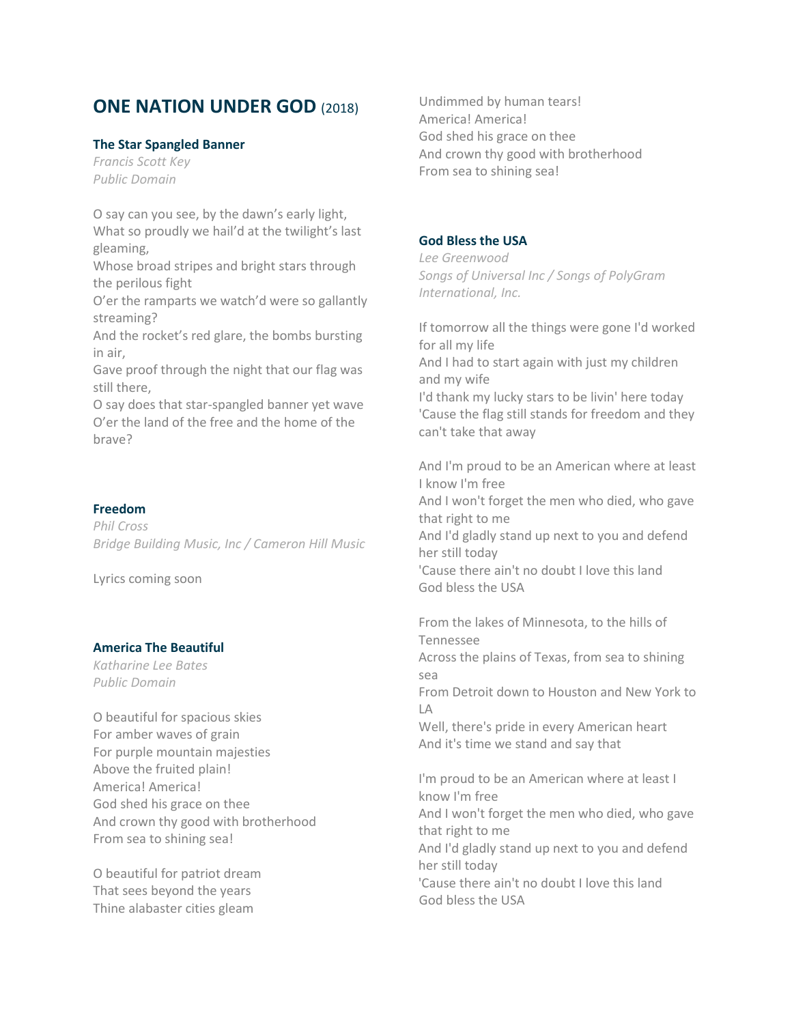# **ONE NATION UNDER GOD** (2018)

#### **The Star Spangled Banner**

*Francis Scott Key Public Domain*

O say can you see, by the dawn's early light, What so proudly we hail'd at the twilight's last gleaming,

Whose broad stripes and bright stars through the perilous fight

O'er the ramparts we watch'd were so gallantly streaming?

And the rocket's red glare, the bombs bursting in air,

Gave proof through the night that our flag was still there,

O say does that star-spangled banner yet wave O'er the land of the free and the home of the brave?

#### **Freedom**

*Phil Cross Bridge Building Music, Inc / Cameron Hill Music*

Lyrics coming soon

# **America The Beautiful**

*Katharine Lee Bates Public Domain*

O beautiful for spacious skies For amber waves of grain For purple mountain majesties Above the fruited plain! America! America! God shed his grace on thee And crown thy good with brotherhood From sea to shining sea!

O beautiful for patriot dream That sees beyond the years Thine alabaster cities gleam

Undimmed by human tears! America! America! God shed his grace on thee And crown thy good with brotherhood From sea to shining sea!

#### **God Bless the USA**

*Lee Greenwood Songs of Universal Inc / Songs of PolyGram International, Inc.*

If tomorrow all the things were gone I'd worked for all my life And I had to start again with just my children and my wife I'd thank my lucky stars to be livin' here today 'Cause the flag still stands for freedom and they can't take that away

And I'm proud to be an American where at least I know I'm free And I won't forget the men who died, who gave that right to me And I'd gladly stand up next to you and defend her still today 'Cause there ain't no doubt I love this land God bless the USA

From the lakes of Minnesota, to the hills of Tennessee Across the plains of Texas, from sea to shining sea From Detroit down to Houston and New York to LA Well, there's pride in every American heart And it's time we stand and say that I'm proud to be an American where at least I know I'm free And I won't forget the men who died, who gave that right to me

And I'd gladly stand up next to you and defend her still today

'Cause there ain't no doubt I love this land God bless the USA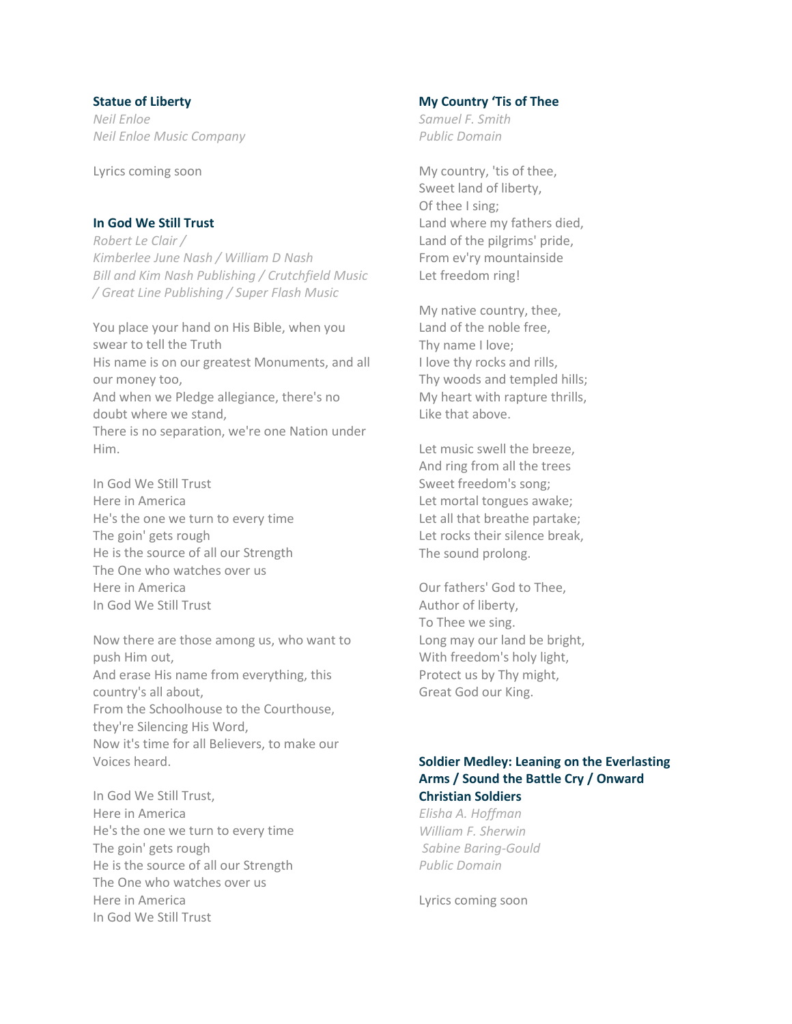#### **Statue of Liberty**

*Neil Enloe Neil Enloe Music Company*

Lyrics coming soon

#### **In God We Still Trust**

*Robert Le Clair / Kimberlee June Nash / William D Nash Bill and Kim Nash Publishing / Crutchfield Music / Great Line Publishing / Super Flash Music*

You place your hand on His Bible, when you swear to tell the Truth His name is on our greatest Monuments, and all our money too, And when we Pledge allegiance, there's no doubt where we stand, There is no separation, we're one Nation under Him.

In God We Still Trust Here in America He's the one we turn to every time The goin' gets rough He is the source of all our Strength The One who watches over us Here in America In God We Still Trust

Now there are those among us, who want to push Him out, And erase His name from everything, this country's all about, From the Schoolhouse to the Courthouse, they're Silencing His Word, Now it's time for all Believers, to make our Voices heard.

In God We Still Trust, Here in America He's the one we turn to every time The goin' gets rough He is the source of all our Strength The One who watches over us Here in America In God We Still Trust

# **My Country 'Tis of Thee**

*Samuel F. Smith Public Domain*

My country, 'tis of thee, Sweet land of liberty, Of thee I sing; Land where my fathers died, Land of the pilgrims' pride, From ev'ry mountainside Let freedom ring!

My native country, thee, Land of the noble free, Thy name I love; I love thy rocks and rills, Thy woods and templed hills; My heart with rapture thrills, Like that above.

Let music swell the breeze, And ring from all the trees Sweet freedom's song; Let mortal tongues awake; Let all that breathe partake; Let rocks their silence break, The sound prolong.

Our fathers' God to Thee, Author of liberty, To Thee we sing. Long may our land be bright, With freedom's holy light, Protect us by Thy might, Great God our King.

# **Soldier Medley: Leaning on the Everlasting Arms / Sound the Battle Cry / Onward Christian Soldiers**

*Elisha A. Hoffman William F. Sherwin Sabine Baring-Gould Public Domain*

Lyrics coming soon